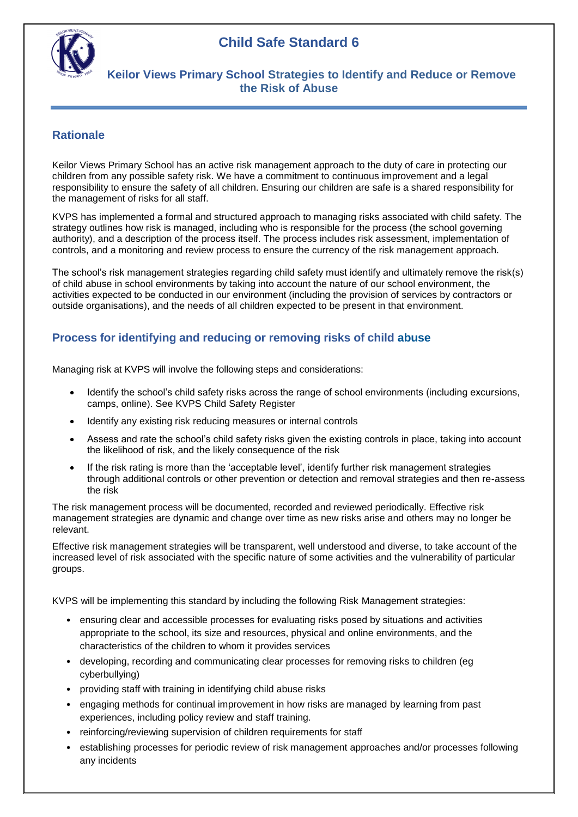# **Child Safe Standard 6**



### **Keilor Views Primary School Strategies to Identify and Reduce or Remove the Risk of Abuse**

### **Rationale**

Keilor Views Primary School has an active risk management approach to the duty of care in protecting our children from any possible safety risk. We have a commitment to continuous improvement and a legal responsibility to ensure the safety of all children. Ensuring our children are safe is a shared responsibility for the management of risks for all staff.

KVPS has implemented a formal and structured approach to managing risks associated with child safety. The strategy outlines how risk is managed, including who is responsible for the process (the school governing authority), and a description of the process itself. The process includes risk assessment, implementation of controls, and a monitoring and review process to ensure the currency of the risk management approach.

The school's risk management strategies regarding child safety must identify and ultimately remove the risk(s) of child abuse in school environments by taking into account the nature of our school environment, the activities expected to be conducted in our environment (including the provision of services by contractors or outside organisations), and the needs of all children expected to be present in that environment.

#### **Process for identifying and reducing or removing risks of child abuse**

Managing risk at KVPS will involve the following steps and considerations:

- Identify the school's child safety risks across the range of school environments (including excursions, camps, online). See KVPS Child Safety Register
- Identify any existing risk reducing measures or internal controls
- Assess and rate the school's child safety risks given the existing controls in place, taking into account the likelihood of risk, and the likely consequence of the risk
- If the risk rating is more than the 'acceptable level', identify further risk management strategies through additional controls or other prevention or detection and removal strategies and then re-assess the risk

The risk management process will be documented, recorded and reviewed periodically. Effective risk management strategies are dynamic and change over time as new risks arise and others may no longer be relevant.

Effective risk management strategies will be transparent, well understood and diverse, to take account of the increased level of risk associated with the specific nature of some activities and the vulnerability of particular groups.

KVPS will be implementing this standard by including the following Risk Management strategies:

- ensuring clear and accessible processes for evaluating risks posed by situations and activities appropriate to the school, its size and resources, physical and online environments, and the characteristics of the children to whom it provides services
- developing, recording and communicating clear processes for removing risks to children (eg cyberbullying)
- providing staff with training in identifying child abuse risks
- engaging methods for continual improvement in how risks are managed by learning from past experiences, including policy review and staff training.
- reinforcing/reviewing supervision of children requirements for staff
- establishing processes for periodic review of risk management approaches and/or processes following any incidents